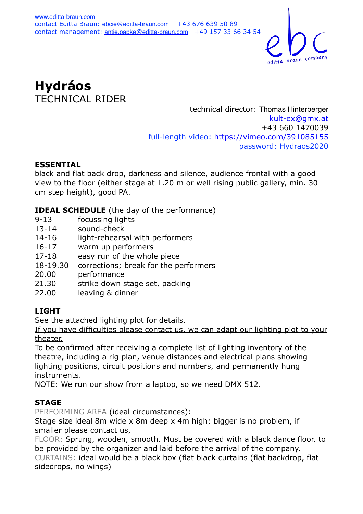

**Hydráos**  TECHNICAL RIDER

technical director: Thomas Hinterberger [kult-ex@gmx.at](mailto:kult-ex@gmx.at) +43 660 1470039 full-length video:<https://vimeo.com/391085155> password: Hydraos2020

### **ESSENTIAL**

black and flat back drop, darkness and silence, audience frontal with a good view to the floor (either stage at 1.20 m or well rising public gallery, min. 30 cm step height), good PA.

**IDEAL SCHEDULE** (the day of the performance)

- 9-13 focussing lights
- 13-14 sound-check
- 14-16 light-rehearsal with performers
- 16-17 warm up performers
- 17-18 easy run of the whole piece
- 18-19.30 corrections; break for the performers
- 20.00 performance
- 21.30 strike down stage set, packing
- 22.00 leaving & dinner

### **LIGHT**

See the attached lighting plot for details.

If you have difficulties please contact us, we can adapt our lighting plot to your theater.

To be confirmed after receiving a complete list of lighting inventory of the theatre, including a rig plan, venue distances and electrical plans showing lighting positions, circuit positions and numbers, and permanently hung instruments.

NOTE: We run our show from a laptop, so we need DMX 512.

### **STAGE**

PERFORMING AREA (ideal circumstances):

Stage size ideal 8m wide x 8m deep x 4m high; bigger is no problem, if smaller please contact us,

FLOOR: Sprung, wooden, smooth. Must be covered with a black dance floor, to be provided by the organizer and laid before the arrival of the company. CURTAINS: ideal would be a black box (flat black curtains (flat backdrop, flat sidedrops, no wings)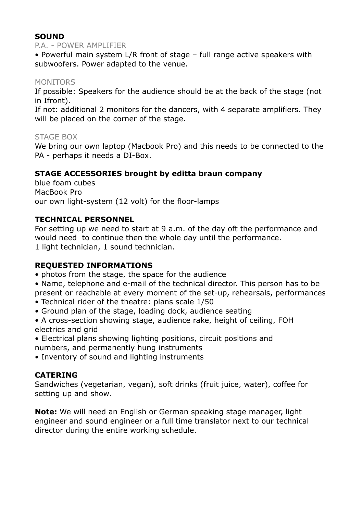# **SOUND**

#### P.A. - POWER AMPLIFIER

• Powerful main system L/R front of stage – full range active speakers with subwoofers. Power adapted to the venue.

# MONITORS

If possible: Speakers for the audience should be at the back of the stage (not in Ifront).

If not: additional 2 monitors for the dancers, with 4 separate amplifiers. They will be placed on the corner of the stage.

# STAGE BOX

We bring our own laptop (Macbook Pro) and this needs to be connected to the PA - perhaps it needs a DI-Box.

# **STAGE ACCESSORIES brought by editta braun company**

blue foam cubes MacBook Pro our own light-system (12 volt) for the floor-lamps

# **TECHNICAL PERSONNEL**

For setting up we need to start at 9 a.m. of the day oft the performance and would need to continue then the whole day until the performance. 1 light technician, 1 sound technician.

### **REQUESTED INFORMATIONS**

- photos from the stage, the space for the audience
- Name, telephone and e-mail of the technical director. This person has to be present or reachable at every moment of the set-up, rehearsals, performances
- Technical rider of the theatre: plans scale 1/50
- Ground plan of the stage, loading dock, audience seating
- A cross-section showing stage, audience rake, height of ceiling, FOH electrics and grid
- Electrical plans showing lighting positions, circuit positions and numbers, and permanently hung instruments
- Inventory of sound and lighting instruments

### **CATERING**

Sandwiches (vegetarian, vegan), soft drinks (fruit juice, water), coffee for setting up and show.

**Note:** We will need an English or German speaking stage manager, light engineer and sound engineer or a full time translator next to our technical director during the entire working schedule.